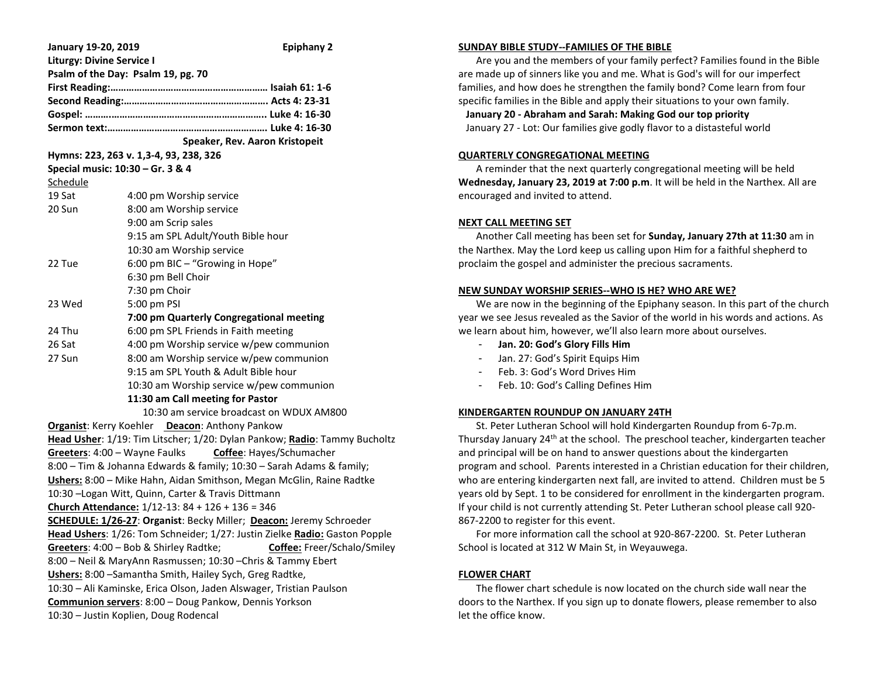| January 19-20, 2019<br><b>Epiphany 2</b>                                     |                                                                                 |
|------------------------------------------------------------------------------|---------------------------------------------------------------------------------|
| <b>Liturgy: Divine Service I</b>                                             |                                                                                 |
| Psalm of the Day: Psalm 19, pg. 70                                           |                                                                                 |
|                                                                              |                                                                                 |
|                                                                              |                                                                                 |
|                                                                              |                                                                                 |
|                                                                              |                                                                                 |
|                                                                              | Speaker, Rev. Aaron Kristopeit                                                  |
| Hymns: 223, 263 v. 1,3-4, 93, 238, 326                                       |                                                                                 |
|                                                                              | Special music: 10:30 - Gr. 3 & 4                                                |
| Schedule                                                                     |                                                                                 |
| 19 Sat                                                                       | 4:00 pm Worship service                                                         |
| 20 Sun                                                                       | 8:00 am Worship service                                                         |
|                                                                              | 9:00 am Scrip sales                                                             |
|                                                                              | 9:15 am SPL Adult/Youth Bible hour                                              |
|                                                                              | 10:30 am Worship service                                                        |
| 22 Tue                                                                       | 6:00 pm BIC - "Growing in Hope"                                                 |
|                                                                              | 6:30 pm Bell Choir                                                              |
|                                                                              | 7:30 pm Choir                                                                   |
| 23 Wed                                                                       | 5:00 pm PSI                                                                     |
| 24 Thu                                                                       | 7:00 pm Quarterly Congregational meeting                                        |
| 26 Sat                                                                       | 6:00 pm SPL Friends in Faith meeting<br>4:00 pm Worship service w/pew communion |
| 27 Sun                                                                       | 8:00 am Worship service w/pew communion                                         |
|                                                                              | 9:15 am SPL Youth & Adult Bible hour                                            |
|                                                                              | 10:30 am Worship service w/pew communion                                        |
| 11:30 am Call meeting for Pastor                                             |                                                                                 |
| 10:30 am service broadcast on WDUX AM800                                     |                                                                                 |
| <b>Organist:</b> Kerry Koehler <b>Deacon:</b> Anthony Pankow                 |                                                                                 |
| Head Usher: 1/19: Tim Litscher; 1/20: Dylan Pankow; Radio: Tammy Bucholtz    |                                                                                 |
| Greeters: 4:00 - Wayne Faulks Coffee: Hayes/Schumacher                       |                                                                                 |
| 8:00 – Tim & Johanna Edwards & family; 10:30 – Sarah Adams & family;         |                                                                                 |
| Ushers: 8:00 - Mike Hahn, Aidan Smithson, Megan McGlin, Raine Radtke         |                                                                                 |
| 10:30 - Logan Witt, Quinn, Carter & Travis Dittmann                          |                                                                                 |
| Church Attendance: 1/12-13: 84 + 126 + 136 = 346                             |                                                                                 |
| SCHEDULE: 1/26-27: Organist: Becky Miller; Deacon: Jeremy Schroeder          |                                                                                 |
| Head Ushers: 1/26: Tom Schneider; 1/27: Justin Zielke Radio: Gaston Popple   |                                                                                 |
| Greeters: 4:00 - Bob & Shirley Radtke;<br><b>Coffee:</b> Freer/Schalo/Smiley |                                                                                 |
| 8:00 - Neil & MaryAnn Rasmussen; 10:30 - Chris & Tammy Ebert                 |                                                                                 |
| Ushers: 8:00 - Samantha Smith, Hailey Sych, Greg Radtke,                     |                                                                                 |
| 10:30 - Ali Kaminske, Erica Olson, Jaden Alswager, Tristian Paulson          |                                                                                 |
| Communion servers: 8:00 - Doug Pankow, Dennis Yorkson                        |                                                                                 |
| 10:30 - Justin Koplien, Doug Rodencal                                        |                                                                                 |

#### **SUNDAY BIBLE STUDY--FAMILIES OF THE BIBLE**

 Are you and the members of your family perfect? Families found in the Bible are made up of sinners like you and me. What is God's will for our imperfect families, and how does he strengthen the family bond? Come learn from four specific families in the Bible and apply their situations to your own family.

**January 20 - Abraham and Sarah: Making God our top priority**

January 27 - Lot: Our families give godly flavor to a distasteful world

#### **QUARTERLY CONGREGATIONAL MEETING**

 A reminder that the next quarterly congregational meeting will be held **Wednesday, January 23, 2019 at 7:00 p.m**. It will be held in the Narthex. All are encouraged and invited to attend.

## **NEXT CALL MEETING SET**

 Another Call meeting has been set for **Sunday, January 27th at 11:30** am in the Narthex. May the Lord keep us calling upon Him for a faithful shepherd to proclaim the gospel and administer the precious sacraments.

#### **NEW SUNDAY WORSHIP SERIES--WHO IS HE? WHO ARE WE?**

 We are now in the beginning of the Epiphany season. In this part of the church year we see Jesus revealed as the Savior of the world in his words and actions. As we learn about him, however, we'll also learn more about ourselves.

- **Jan. 20: God's Glory Fills Him**
- Jan. 27: God's Spirit Equips Him
- Feb. 3: God's Word Drives Him
- Feb. 10: God's Calling Defines Him

## **KINDERGARTEN ROUNDUP ON JANUARY 24TH**

 St. Peter Lutheran School will hold Kindergarten Roundup from 6-7p.m. Thursday January 24th at the school. The preschool teacher, kindergarten teacher and principal will be on hand to answer questions about the kindergarten program and school. Parents interested in a Christian education for their children, who are entering kindergarten next fall, are invited to attend. Children must be 5 years old by Sept. 1 to be considered for enrollment in the kindergarten program. If your child is not currently attending St. Peter Lutheran school please call 920- 867-2200 to register for this event.

 For more information call the school at 920-867-2200. St. Peter Lutheran School is located at 312 W Main St, in Weyauwega.

## **FLOWER CHART**

 The flower chart schedule is now located on the church side wall near the doors to the Narthex. If you sign up to donate flowers, please remember to also let the office know.